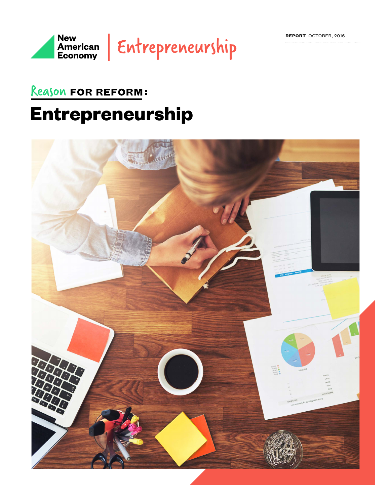

### Reason FOR REFORM:

## **Entrepreneurship**

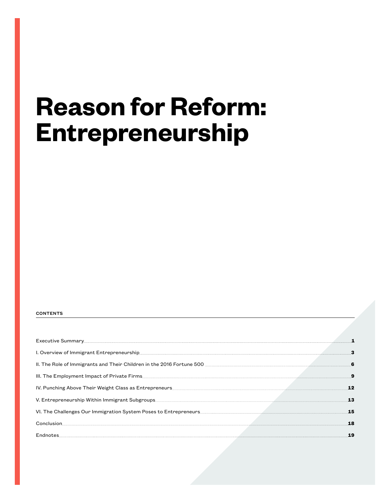## **Reason for Reform: Entrepreneurship**

#### **CONTENTS**

| II. The Role of Immigrants and Their Children in the 2016 Fortune 500 <b>manual contract of the Collection of School</b> |  |
|--------------------------------------------------------------------------------------------------------------------------|--|
|                                                                                                                          |  |
|                                                                                                                          |  |
|                                                                                                                          |  |
| VI. The Challenges Our Immigration System Poses to Entrepreneurs <b>Exerces Communities</b> 15                           |  |
|                                                                                                                          |  |
|                                                                                                                          |  |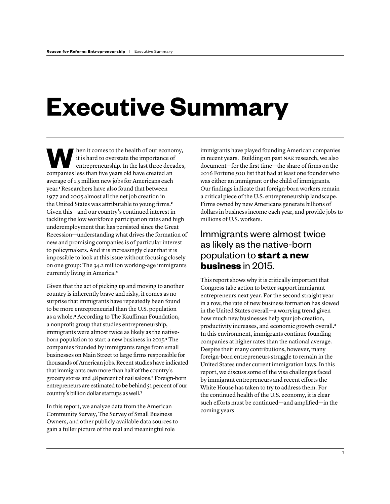# **Executive Summary**

hen it comes to the health of our economy, it is hard to overstate the importance of entrepreneurship. In the last three decades, companies less than fve years old have created an average of 1.5 million new jobs for Americans each year.**<sup>1</sup>** Researchers have also found that between 1977 and 2005 almost all the net job creation in the United States was attributable to young frms.**<sup>2</sup>** Given this—and our country's continued interest in tackling the low workforce participation rates and high underemployment that has persisted since the Great Recession—understanding what drives the formation of new and promising companies is of particular interest to policymakers. And it is increasingly clear that it is impossible to look at this issue without focusing closely on one group: The 34.2 million working-age immigrants currently living in America.**<sup>3</sup>**

Given that the act of picking up and moving to another country is inherently brave and risky, it comes as no surprise that immigrants have repeatedly been found to be more entrepreneurial than the U.S. population as a whole.**4** According to The Kaufman Foundation, a nonproft group that studies entrepreneurship, immigrants were almost twice as likely as the nativeborn population to start a new business in 2015.**5** The companies founded by immigrants range from small businesses on Main Street to large frms responsible for thousands of American jobs. Recent studies have indicated that immigrants own more than half of the country's grocery stores and 48 percent of nail salons.**6** Foreign-born entrepreneurs are estimated to be behind 51 percent of our country's billion dollar startups as well.**<sup>7</sup>**

In this report, we analyze data from the American Community Survey, The Survey of Small Business Owners, and other publicly available data sources to gain a fuller picture of the real and meaningful role

immigrants have played founding American companies in recent years. Building on past NAE research, we also document—for the frst time—the share of frms on the 2016 Fortune 500 list that had at least one founder who was either an immigrant or the child of immigrants. Our fndings indicate that foreign-born workers remain a critical piece of the U.S. entrepreneurship landscape. Firms owned by new Americans generate billions of dollars in business income each year, and provide jobs to millions of U.S. workers.

### Immigrants were almost twice as likely as the native-born population to **start a new business** in 2015.

This report shows why it is critically important that Congress take action to better support immigrant entrepreneurs next year. For the second straight year in a row, the rate of new business formation has slowed in the United States overall—a worrying trend given how much new businesses help spur job creation, productivity increases, and economic growth overall.**<sup>8</sup>** In this environment, immigrants continue founding companies at higher rates than the national average. Despite their many contributions, however, many foreign-born entrepreneurs struggle to remain in the United States under current immigration laws. In this report, we discuss some of the visa challenges faced by immigrant entrepreneurs and recent eforts the White House has taken to try to address them. For the continued health of the U.S. economy, it is clear such efforts must be continued—and amplified—in the coming years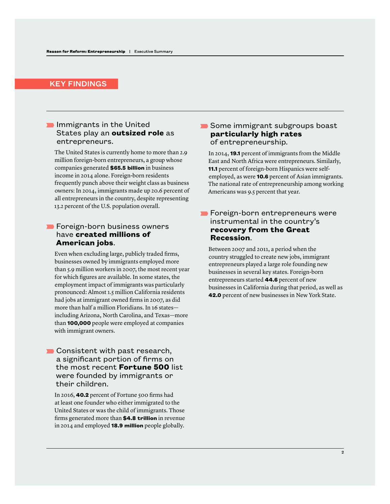#### KEY FINDINGS

#### $\blacksquare$  Immigrants in the United States play an **outsized role** as entrepreneurs.

 The United States is currently home to more than 2.9 million foreign-born entrepreneurs, a group whose companies generated **\$65.5 billion** in business income in 2014 alone. Foreign-born residents frequently punch above their weight class as business owners: In 2014, immigrants made up 20.6 percent of all entrepreneurs in the country, despite representing 13.2 percent of the U.S. population overall.

#### **Foreign-born business owners** have **created millions of American jobs**.

 Even when excluding large, publicly traded frms, businesses owned by immigrants employed more than 5.9 million workers in 2007, the most recent year for which fgures are available. In some states, the employment impact of immigrants was particularly pronounced: Almost 1.5 million California residents had jobs at immigrant owned frms in 2007, as did more than half a million Floridians. In 16 states including Arizona, North Carolina, and Texas—more than **100,000** people were employed at companies with immigrant owners.

#### Consistent with past research, a significant portion of firms on the most recent **Fortune 500** list were founded by immigrants or their children.

 In 2016, **40.2** percent of Fortune 500 frms had at least one founder who either immigrated to the United States or was the child of immigrants. Those frms generated more than **\$4.8 trillion** in revenue in 2014 and employed **18.9 million** people globally.

#### Some immigrant subgroups boast **particularly high rates** of entrepreneurship.

 In 2014, **19.1** percent of immigrants from the Middle East and North Africa were entrepreneurs. Similarly, **11.1** percent of foreign-born Hispanics were selfemployed, as were **10.6** percent of Asian immigrants. The national rate of entrepreneurship among working Americans was 9.5 percent that year.

#### **Foreign-born entrepreneurs were** instrumental in the country's **recovery from the Great Recession**.

 Between 2007 and 2011, a period when the country struggled to create new jobs, immigrant entrepreneurs played a large role founding new businesses in several key states. Foreign-born entrepreneurs started **44.6** percent of new businesses in California during that period, as well as **42.0** percent of new businesses in New York State.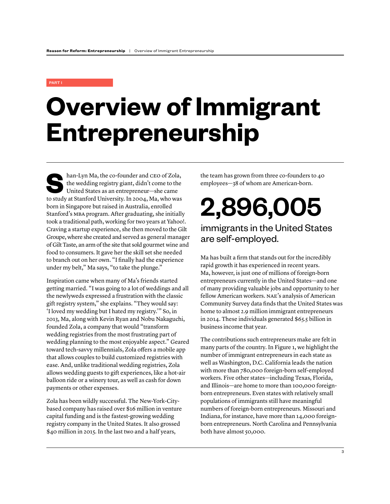#### PART I

# **Overview of Immigrant Entrepreneurship**

han-Lyn Ma, the co-founder and CEO of Zola,<br>the wedding registry giant, didn't come to the<br>United States as an entrepreneur—she came<br>to study at Stanford University In 2004. Ma, who was the wedding registry giant, didn't come to the United States as an entrepreneur—she came to study at Stanford University. In 2004, Ma, who was born in Singapore but raised in Australia, enrolled Stanford's MBA program. After graduating, she initially took a traditional path, working for two years at Yahoo!. Craving a startup experience, she then moved to the Gilt Groupe, where she created and served as general manager of Gilt Taste, an arm of the site that sold gourmet wine and food to consumers. It gave her the skill set she needed to branch out on her own. "I fnally had the experience under my belt," Ma says, "to take the plunge."

Inspiration came when many of Ma's friends started getting married. "I was going to a lot of weddings and all the newlyweds expressed a frustration with the classic gift registry system," she explains. "They would say: 'I loved my wedding but I hated my registry.'" So, in 2013, Ma, along with Kevin Ryan and Nobu Nakaguchi, founded Zola, a company that would "transform wedding registries from the most frustrating part of wedding planning to the most enjoyable aspect." Geared toward tech-savvy millennials, Zola offers a mobile app that allows couples to build customized registries with ease. And, unlike traditional wedding registries, Zola allows wedding guests to gift experiences, like a hot-air balloon ride or a winery tour, as well as cash for down payments or other expenses.

Zola has been wildly successful. The New-York-Citybased company has raised over \$16 million in venture capital funding and is the fastest-growing wedding registry company in the United States. It also grossed \$40 million in 2015. In the last two and a half years,

the team has grown from three co-founders to 40 employees—38 of whom are American-born.

2,896,005

### immigrants in the United States are self-employed.

Ma has built a frm that stands out for the incredibly rapid growth it has experienced in recent years. Ma, however, is just one of millions of foreign-born entrepreneurs currently in the United States—and one of many providing valuable jobs and opportunity to her fellow American workers. NAE's analysis of American Community Survey data fnds that the United States was home to almost 2.9 million immigrant entrepreneurs in 2014. These individuals generated \$65.5 billion in business income that year.

The contributions such entrepreneurs make are felt in many parts of the country. In Figure 1, we highlight the number of immigrant entrepreneurs in each state as well as Washington, D.C. California leads the nation with more than 780,000 foreign-born self-employed workers. Five other states—including Texas, Florida, and Illinois—are home to more than 100,000 foreignborn entrepreneurs. Even states with relatively small populations of immigrants still have meaningful numbers of foreign-born entrepreneurs. Missouri and Indiana, for instance, have more than 14,000 foreignborn entrepreneurs. North Carolina and Pennsylvania both have almost 50,000.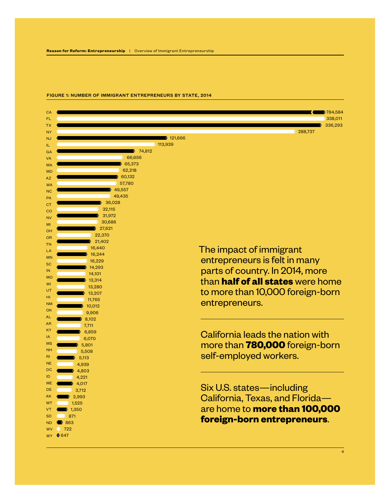

#### FIGURE 1: NUMBER OF IMMIGRANT ENTREPRENEURS BY STATE, 2014

4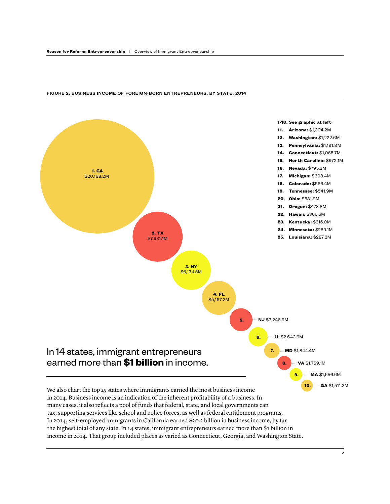

#### FIGURE 2: BUSINESS INCOME OF FOREIGN-BORN ENTREPRENEURS, BY STATE, 2014

In 2014, self-employed immigrants in California earned \$20.2 billion in business income, by far the highest total of any state. In 14 states, immigrant entrepreneurs earned more than \$1 billion in income in 2014. That group included places as varied as Connecticut, Georgia, and Washington State.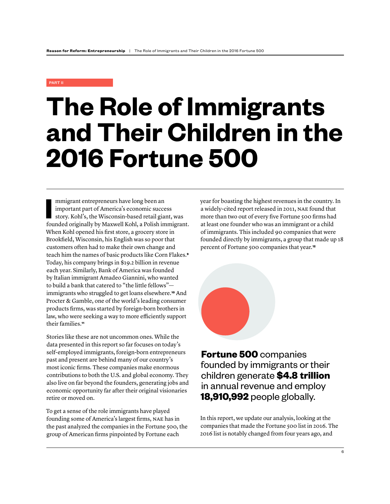#### PART II

## **The Role of Immigrants and Their Children in the 2016 Fortune 500**

**I**<br> $\frac{1}{2}$ mmigrant entrepreneurs have long been an important part of America's economic success story. Kohl's, the Wisconsin-based retail giant, was founded originally by Maxwell Kohl, a Polish immigrant. When Kohl opened his frst store, a grocery store in Brookfeld, Wisconsin, his English was so poor that customers often had to make their own change and teach him the names of basic products like Corn Flakes.**<sup>9</sup>** Today, his company brings in \$19.2 billion in revenue each year. Similarly, Bank of America was founded by Italian immigrant Amadeo Giannini, who wanted to build a bank that catered to "the little fellows" immigrants who struggled to get loans elsewhere.**10** And Procter & Gamble, one of the world's leading consumer products frms, was started by foreign-born brothers in law, who were seeking a way to more efficiently support their families.**<sup>11</sup>**

Stories like these are not uncommon ones. While the data presented in this report so far focuses on today's self-employed immigrants, foreign-born entrepreneurs past and present are behind many of our country's most iconic frms. These companies make enormous contributions to both the U.S. and global economy. They also live on far beyond the founders, generating jobs and economic opportunity far after their original visionaries retire or moved on.

To get a sense of the role immigrants have played founding some of America's largest frms, NAE has in the past analyzed the companies in the Fortune 500, the group of American frms pinpointed by Fortune each

year for boasting the highest revenues in the country. In a widely-cited report released in 2011, NAE found that more than two out of every fve Fortune 500 frms had at least one founder who was an immigrant or a child of immigrants. This included 90 companies that were founded directly by immigrants, a group that made up 18 percent of Fortune 500 companies that year.**<sup>12</sup>**



**Fortune 500** companies founded by immigrants or their children generate **\$4.8 trillion**  in annual revenue and employ **18,910,992** people globally.

In this report, we update our analysis, looking at the companies that made the Fortune 500 list in 2016. The 2016 list is notably changed from four years ago, and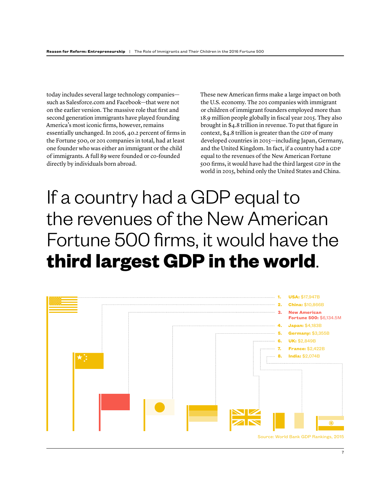today includes several large technology companies such as Salesforce.com and Facebook—that were not on the earlier version. The massive role that frst and second generation immigrants have played founding America's most iconic frms, however, remains essentially unchanged. In 2016, 40.2 percent of frms in the Fortune 500, or 201 companies in total, had at least one founder who was either an immigrant or the child of immigrants. A full 89 were founded or co-founded directly by individuals born abroad.

These new American frms make a large impact on both the U.S. economy. The 201 companies with immigrant or children of immigrant founders employed more than 18.9 million people globally in fscal year 2015. They also brought in \$4.8 trillion in revenue. To put that fgure in context, \$4.8 trillion is greater than the GDP of many developed countries in 2015—including Japan, Germany, and the United Kingdom. In fact, if a country had a GDP equal to the revenues of the New American Fortune 500 frms, it would have had the third largest GDP in the world in 2015, behind only the United States and China.

## If a country had a GDP equal to the revenues of the New American Fortune 500 firms, it would have the **third largest GDP in the world**.

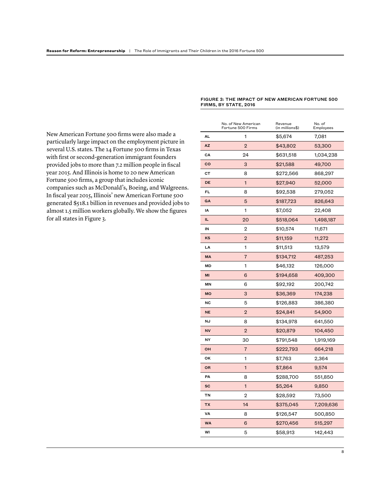New American Fortune 500 frms were also made a particularly large impact on the employment picture in several U.S. states. The 14 Fortune 500 frms in Texas with frst or second-generation immigrant founders provided jobs to more than 7.2 million people in fscal year 2015. And Illinois is home to 20 new American Fortune 500 frms, a group that includes iconic companies such as McDonald's, Boeing, and Walgreens. In fscal year 2015, Illinois' new American Fortune 500 generated \$518.1 billion in revenues and provided jobs to almost 1.5 million workers globally. We show the fgures for all states in Figure 3.

#### FIGURE 3: THE IMPACT OF NEW AMERICAN FORTUNE 500 FIRMS, BY STATE, 2016

|               | No. of New American<br>Fortune 500 Firms | Revenue<br>(in millions\$) | No. of<br>Employees |
|---------------|------------------------------------------|----------------------------|---------------------|
| AL            | 1                                        | \$5,674                    | 7,081               |
| <b>AZ</b>     | $\overline{2}$                           | \$43,802                   | 53,300              |
| СA            | 24                                       | \$631,518                  | 1,034,238           |
| $\mathbf{co}$ | 3                                        | \$21,588                   | 49,700              |
| cт            | 8                                        | \$272,566                  | 868,297             |
| DE            | 1                                        | \$27,940                   | 52,000              |
| FL            | 8                                        | \$92,538                   | 279,052             |
| GA            | 5                                        | \$187,723                  | 826,643             |
| IΑ            | 1                                        | \$7,052                    | 22,408              |
| IL.           | 20                                       | \$518,064                  | 1,498,187           |
| IN            | $\overline{2}$                           | \$10,574                   | 11,671              |
| KS            | $\overline{2}$                           | \$11,159                   | 11,272              |
| LA            | 1                                        | \$11,513                   | 13,579              |
| <b>MA</b>     | 7                                        | \$134,712                  | 487,253             |
| MD            | 1                                        | \$46,132                   | 126,000             |
| MI            | 6                                        | \$194,658                  | 409,300             |
| MN            | 6                                        | \$92,192                   | 200,742             |
| <b>MO</b>     | 3                                        | \$36,369                   | 174,238             |
| NC            | 5                                        | \$126,883                  | 386,380             |
| <b>NE</b>     | $\overline{2}$                           | \$24,841                   | 54,900              |
| NJ            | 8                                        | \$134,978                  | 641,550             |
| <b>NV</b>     | $\overline{2}$                           | \$20,879                   | 104,450             |
| NY            | 30                                       | \$791,548                  | 1,919,169           |
| OН            | 7                                        | \$222,793                  | 664,218             |
| OK            | 1                                        | \$7,763                    | 2,364               |
| OR            | $\mathbf{1}$                             | \$7,864                    | 9,574               |
| PA            | 8                                        | \$288,700                  | 551,850             |
| SC            | 1                                        | \$5,264                    | 9,850               |
| TN            | $\overline{2}$                           | \$28,592                   | 73,500              |
| <b>TX</b>     | 14                                       | \$375,045                  | 7,209,636           |
| VA            | 8                                        | \$126,547                  | 500,850             |
| <b>WA</b>     | 6                                        | \$270,456                  | 515,297             |
| WI            | 5                                        | \$58,913                   | 142,443             |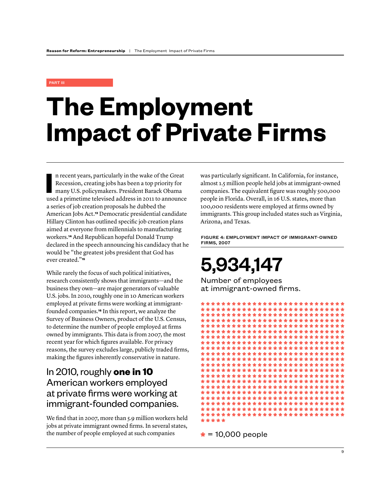#### PART III

# **The Employment Impact of Private Firms**

In recent years, particularly in the wake of the Great<br>
Recession, creating jobs has been a top priority for<br>
many U.S. policymakers. President Barack Obama<br>
used a primetime televised address in 2011 to announce n recent years, particularly in the wake of the Great Recession, creating jobs has been a top priority for many U.S. policymakers. President Barack Obama a series of job creation proposals he dubbed the American Jobs Act.**13** Democratic presidential candidate Hillary Clinton has outlined specifc job creation plans aimed at everyone from millennials to manufacturing workers.**14** And Republican hopeful Donald Trump declared in the speech announcing his candidacy that he would be "the greatest jobs president that God has ever created."**<sup>15</sup>**

While rarely the focus of such political initiatives, research consistently shows that immigrants—and the business they own—are major generators of valuable U.S. jobs. In 2010, roughly one in 10 American workers employed at private frms were working at immigrantfounded companies.**16** In this report, we analyze the Survey of Business Owners, product of the U.S. Census, to determine the number of people employed at frms owned by immigrants. This data is from 2007, the most recent year for which fgures available. For privacy reasons, the survey excludes large, publicly traded frms, making the fgures inherently conservative in nature.

### In 2010, roughly **one in 10** American workers employed at private firms were working at immigrant-founded companies.

We find that in 2007, more than 5.9 million workers held jobs at private immigrant owned frms. In several states, the number of people employed at such companies

was particularly signifcant. In California, for instance, almost 1.5 million people held jobs at immigrant-owned companies. The equivalent fgure was roughly 500,000 people in Florida. Overall, in 16 U.S. states, more than 100,000 residents were employed at frms owned by immigrants. This group included states such as Virginia, Arizona, and Texas.

FIGURE 4: EMPLOYMENT IMPACT OF IMMIGRANT-OWNED FIRMS, 2007

## 5,934,147

Number of employees at immigrant-owned firms.



**\*** = 10,000 people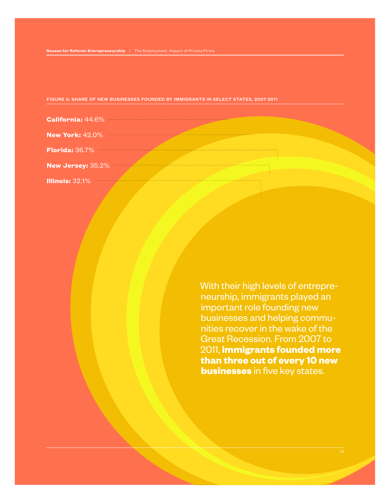| FIGURE 5: SHARE OF NEW BUSINESSES FOUNDED BY IMMIGRANTS IN SELECT STATES, 2007-2011 / |
|---------------------------------------------------------------------------------------|
|---------------------------------------------------------------------------------------|

| <b>California: 44.6%</b> |  |
|--------------------------|--|
| <b>New York: 42.0%</b>   |  |
|                          |  |
| <b>New Jersey: 35.2%</b> |  |
| <b>Illinois: 32.1%</b>   |  |

With their high levels of entrepreneurship, immigrants played an important role founding new businesses and helping communities recover in the wake of the Great Recession. From 2007 to 2011, **immigrants founded more than three out of every 10 new businesses** in five key states.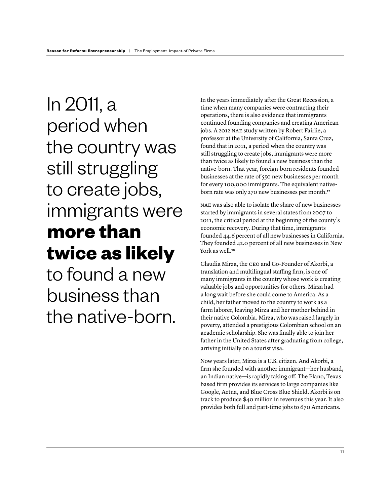In 2011, a period when the country was still struggling to create jobs, immigrants were **more than twice as likely**

to found a new business than the native-born. In the years immediately after the Great Recession, a time when many companies were contracting their operations, there is also evidence that immigrants continued founding companies and creating American jobs. A 2012 NAE study written by Robert Fairlie, a professor at the University of California, Santa Cruz, found that in 2011, a period when the country was still struggling to create jobs, immigrants were more than twice as likely to found a new business than the native-born. That year, foreign-born residents founded businesses at the rate of 550 new businesses per month for every 100,000 immigrants. The equivalent nativeborn rate was only 270 new businesses per month.**<sup>17</sup>**

NAE was also able to isolate the share of new businesses started by immigrants in several states from 2007 to 2011, the critical period at the beginning of the county's economic recovery. During that time, immigrants founded 44.6 percent of all new businesses in California. They founded 42.0 percent of all new businesses in New York as well.**<sup>18</sup>**

Claudia Mirza, the CEO and Co-Founder of Akorbi, a translation and multilingual staffing firm, is one of many immigrants in the country whose work is creating valuable jobs and opportunities for others. Mirza had a long wait before she could come to America. As a child, her father moved to the country to work as a farm laborer, leaving Mirza and her mother behind in their native Colombia. Mirza, who was raised largely in poverty, attended a prestigious Colombian school on an academic scholarship. She was fnally able to join her father in the United States after graduating from college, arriving initially on a tourist visa.

Now years later, Mirza is a U.S. citizen. And Akorbi, a frm she founded with another immigrant—her husband, an Indian native—is rapidly taking of. The Plano, Texas based frm provides its services to large companies like Google, Aetna, and Blue Cross Blue Shield. Akorbi is on track to produce \$40 million in revenues this year. It also provides both full and part-time jobs to 670 Americans.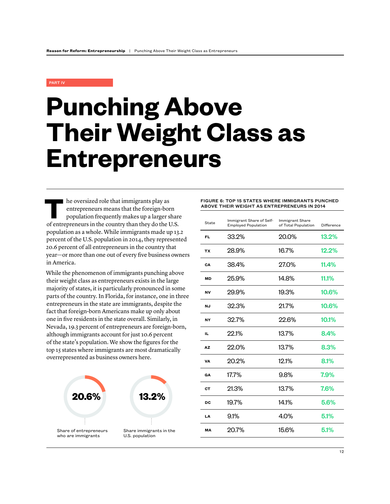#### PART IV

## **Punching Above Their Weight Class as Entrepreneurs**

**THE SET OF THE OF THE OF THE OF THE OF THE SET OF THE SET OF THE SET OF THE SET OF THE SET OF THE SET OF THE SET OF THE SET OF THE SET OF THE SET OF THE SET OF THE SET OF THE SET OF THE SET OF THE SET OF THE SET OF THE SE** entrepreneurs means that the foreign-born of entrepreneurs in the country than they do the U.S. population as a whole. While immigrants made up 13.2 percent of the U.S. population in 2014, they represented 20.6 percent of all entrepreneurs in the country that year—or more than one out of every fve business owners in America.

While the phenomenon of immigrants punching above their weight class as entrepreneurs exists in the large majority of states, it is particularly pronounced in some parts of the country. In Florida, for instance, one in three entrepreneurs in the state are immigrants, despite the fact that foreign-born Americans make up only about one in fve residents in the state overall. Similarly, in Nevada, 19.3 percent of entrepreneurs are foreign-born, although immigrants account for just 10.6 percent of the state's population. We show the fgures for the top 15 states where immigrants are most dramatically overrepresented as business owners here.



FIGURE 6: TOP 15 STATES WHERE IMMIGRANTS PUNCHED ABOVE THEIR WEIGHT AS ENTREPRENEURS IN 2014

| State | Immigrant Share of Self-<br><b>Employed Population</b> | <b>Immigrant Share</b><br>of Total Population | <b>Difference</b> |
|-------|--------------------------------------------------------|-----------------------------------------------|-------------------|
| FL    | 33.2%                                                  | 20.0%                                         | 13.2%             |
| ТX    | 28.9%                                                  | 16.7%                                         | 12.2%             |
| CA    | 38.4%                                                  | 27.0%                                         | 11.4%             |
| МD    | 25.9%                                                  | 14.8%                                         | 11.1%             |
| NV    | 29.9%                                                  | 19.3%                                         | 10.6%             |
| ΝJ    | 32.3%                                                  | 21.7%                                         | 10.6%             |
| NY    | 32.7%                                                  | 22.6%                                         | 10.1%             |
| IL.   | 22.1%                                                  | 13.7%                                         | 8.4%              |
| AZ    | 22.0%                                                  | 13.7%                                         | 8.3%              |
| VA    | 20.2%                                                  | 121%                                          | 8.1%              |
| GA    | 17.7%                                                  | 9.8%                                          | 7.9%              |
| CТ    | 21.3%                                                  | 13.7%                                         | 7.6%              |
| DC    | 19.7%                                                  | 141%                                          | 5.6%              |
| LA    | 9.1%                                                   | 4.0%                                          | 5.1%              |
| МA    | 20.7%                                                  | 15.6%                                         | 5.1%              |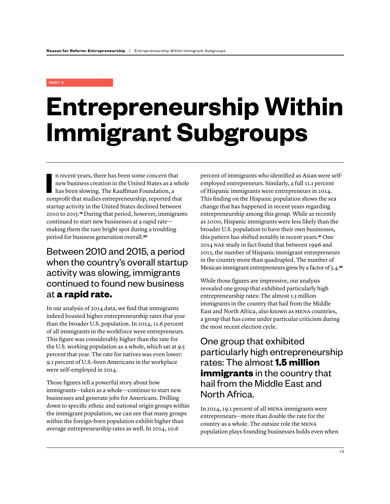#### PART V

# **Entrepreneurship Within Immigrant Subgroups**

In recent years, there has been some concern that<br>
new business creation in the United States as a who<br>
has been slowing. The Kauffman Foundation, a<br>
nonprofit that studies entrepreneurship, reported that n recent years, there has been some concern that new business creation in the United States as a whole has been slowing. The Kauffman Foundation, a startup activity in the United States declined between 2010 to 2015.**19** During that period, however, immigrants continued to start new businesses at a rapid rate making them the rare bright spot during a troubling period for business generation overall.**<sup>20</sup>**

### Between 2010 and 2015, a period when the country's overall startup activity was slowing, immigrants continued to found new business at **a rapid rate.**

In our analysis of 2014 data, we fnd that immigrants indeed boasted higher entrepreneurship rates that year than the broader U.S. population. In 2014, 11.6 percent of all immigrants in the workforce were entrepreneurs. This fgure was considerably higher than the rate for the U.S. working population as a whole, which sat at 9.5 percent that year. The rate for natives was even lower: 9.1 percent of U.S.-born Americans in the workplace were self-employed in 2014.

Those fgures tell a powerful story about how immigrants—taken as a whole—continue to start new businesses and generate jobs for Americans. Drilling down to specifc ethnic and national origin groups within the immigrant population, we can see that many groups within the foreign-born population exhibit higher than average entrepreneurship rates as well. In 2014, 10.6

percent of immigrants who identifed as Asian were selfemployed entrepreneurs. Similarly, a full 11.1 percent of Hispanic immigrants were entrepreneurs in 2014. This fnding on the Hispanic population shows the sea change that has happened in recent years regarding entrepreneurship among this group. While as recently as 2000, Hispanic immigrants were less likely than the broader U.S. population to have their own businesses, this pattern has shifted notably in recent years.**21** One 2014 NAE study in fact found that between 1996 and 2012, the number of Hispanic immigrant entrepreneurs in the country more than quadrupled. The number of Mexican immigrant entrepreneurs grew by a factor of 5.4.**<sup>22</sup>**

While those fgures are impressive, our analysis revealed one group that exhibited particularly high entrepreneurship rates: The almost 1.5 million immigrants in the country that hail from the Middle East and North Africa, also known as MENA countries, a group that has come under particular criticism during the most recent election cycle.

### One group that exhibited particularly high entrepreneurship rates: The almost **1.5 million immigrants** in the country that hail from the Middle East and North Africa.

In 2014, 19.1 percent of all MENA immigrants were entrepreneurs—more than double the rate for the country as a whole. The outsize role the MENA population plays founding businesses holds even when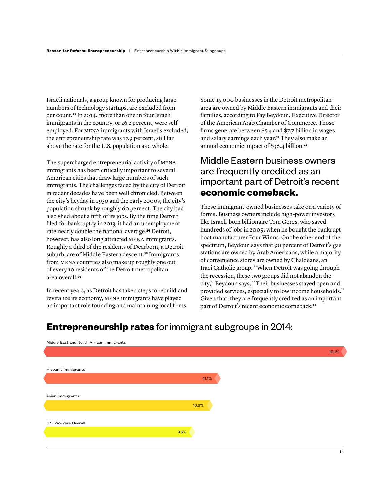Israeli nationals, a group known for producing large numbers of technology startups, are excluded from our count.**23** In 2014, more than one in four Israeli immigrants in the country, or 26.2 percent, were selfemployed. For MENA immigrants with Israelis excluded, the entrepreneurship rate was 17.9 percent, still far above the rate for the U.S. population as a whole.

The supercharged entrepreneurial activity of MENA immigrants has been critically important to several American cities that draw large numbers of such immigrants. The challenges faced by the city of Detroit in recent decades have been well chronicled. Between the city's heyday in 1950 and the early 2000s, the city's population shrunk by roughly 60 percent. The city had also shed about a ffth of its jobs. By the time Detroit fled for bankruptcy in 2013, it had an unemployment rate nearly double the national average.**24** Detroit, however, has also long attracted MENA immigrants. Roughly a third of the residents of Dearborn, a Detroit suburb, are of Middle Eastern descent.**25** Immigrants from MENA countries also make up roughly one out of every 10 residents of the Detroit metropolitan area overall.**<sup>26</sup>**

In recent years, as Detroit has taken steps to rebuild and revitalize its economy, MENA immigrants have played an important role founding and maintaining local frms. Some 15,000 businesses in the Detroit metropolitan area are owned by Middle Eastern immigrants and their families, according to Fay Beydoun, Executive Director of the American Arab Chamber of Commerce. Those frms generate between \$5.4 and \$7.7 billion in wages and salary earnings each year.**27** They also make an annual economic impact of \$36.4 billion.**<sup>28</sup>**

### Middle Eastern business owners are frequently credited as an important part of Detroit's recent **economic comeback.**

These immigrant-owned businesses take on a variety of forms. Business owners include high-power investors like Israeli-born billionaire Tom Gores, who saved hundreds of jobs in 2009, when he bought the bankrupt boat manufacturer Four Winns. On the other end of the spectrum, Beydoun says that 90 percent of Detroit's gas stations are owned by Arab Americans, while a majority of convenience stores are owned by Chaldeans, an Iraqi Catholic group. "When Detroit was going through the recession, these two groups did not abandon the city," Beydoun says, "Their businesses stayed open and provided services, especially to low income households." Given that, they are frequently credited as an important part of Detroit's recent economic comeback.**<sup>29</sup>**

| Hispanic Immigrants<br>11.1%<br>Asian Immigrants<br>10.6%<br>U.S. Workers Overall<br>9.5% | Middle East and North African Immigrants |  |
|-------------------------------------------------------------------------------------------|------------------------------------------|--|
|                                                                                           |                                          |  |
|                                                                                           |                                          |  |
|                                                                                           |                                          |  |
|                                                                                           |                                          |  |
|                                                                                           |                                          |  |
|                                                                                           |                                          |  |
|                                                                                           |                                          |  |
|                                                                                           |                                          |  |
|                                                                                           |                                          |  |
|                                                                                           |                                          |  |
|                                                                                           |                                          |  |
|                                                                                           |                                          |  |
|                                                                                           |                                          |  |

### **Entrepreneurship rates** for immigrant subgroups in 2014: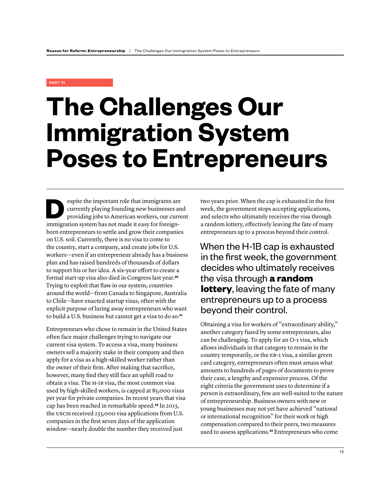#### PART VI

# **The Challenges Our Immigration System Poses to Entrepreneurs**

**DESPITE THEOREM CONTROLLER SERVICE SERVICE SERVICE SERVICE SERVICE SERVICE SERVICE SERVICE SERVICE SERVICE SERVICE SPINNIPLE SPINNIPLE SPINNIPLE SPINNIPLE SPINNIPLE SPINNIPLE SPINNIPLE SPINNIPLE SPINNIPLE SPINNIPLE SPINNI** currently playing founding new businesses and immigration system has not made it easy for foreignborn entrepreneurs to settle and grow their companies on U.S. soil. Currently, there is no visa to come to the country, start a company, and create jobs for U.S. workers—even if an entrepreneur already has a business plan and has raised hundreds of thousands of dollars to support his or her idea. A six-year effort to create a formal start-up visa also died in Congress last year.**<sup>30</sup>** Trying to exploit that faw in our system, countries around the world—from Canada to Singapore, Australia to Chile—have enacted startup visas, often with the explicit purpose of luring away entrepreneurs who want to build a U.S. business but cannot get a visa to do so.**<sup>31</sup>**

Entrepreneurs who chose to remain in the United States often face major challenges trying to navigate our current visa system. To access a visa, many business owners sell a majority stake in their company and then apply for a visa as a high-skilled worker rather than the owner of their frm. After making that sacrifce, however, many fnd they still face an uphill road to obtain a visa. The H-1B visa, the most common visa used by high-skilled workers, is capped at 85,000 visas per year for private companies. In recent years that visa cap has been reached in remarkable speed.**32** In 2015, the USCIS received 233,000 visa applications from U.S. companies in the frst seven days of the application window—nearly double the number they received just

two years prior. When the cap is exhausted in the frst week, the government stops accepting applications, and selects who ultimately receives the visa through a random lottery, efectively leaving the fate of many entrepreneurs up to a process beyond their control.

When the H-1B cap is exhausted in the first week, the government decides who ultimately receives the visa through **a random lottery**, leaving the fate of many entrepreneurs up to a process beyond their control.

Obtaining a visa for workers of "extraordinary ability," another category fused by some entrepreneurs, also can be challenging. To apply for an O-1 visa, which allows individuals in that category to remain in the country temporarily, or the EB-1 visa, a similar green card category, entrepreneurs often must amass what amounts to hundreds of pages of documents to prove their case, a lengthy and expensive process. Of the eight criteria the government uses to determine if a person is extraordinary, few are well-suited to the nature of entrepreneurship. Business owners with new or young businesses may not yet have achieved "national or international recognition" for their work or high compensation compared to their peers, two measures used to assess applications.**33** Entrepreneurs who come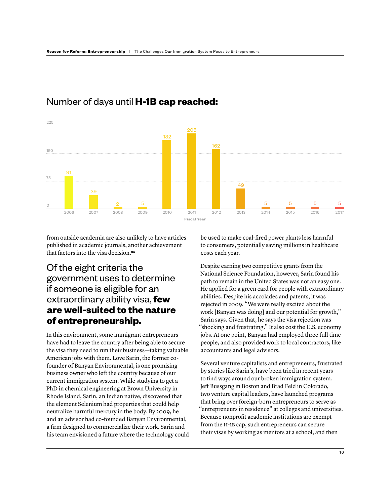

### Number of days until **H-1B cap reached:**

from outside academia are also unlikely to have articles published in academic journals, another achievement that factors into the visa decision.**<sup>34</sup>**

### Of the eight criteria the government uses to determine if someone is eligible for an extraordinary ability visa, **few are well-suited to the nature of entrepreneurship.**

In this environment, some immigrant entrepreneurs have had to leave the country after being able to secure the visa they need to run their business—taking valuable American jobs with them. Love Sarin, the former cofounder of Banyan Environmental, is one promising business owner who left the country because of our current immigration system. While studying to get a PhD in chemical engineering at Brown University in Rhode Island, Sarin, an Indian native, discovered that the element Selenium had properties that could help neutralize harmful mercury in the body. By 2009, he and an advisor had co-founded Banyan Environmental, a frm designed to commercialize their work. Sarin and his team envisioned a future where the technology could be used to make coal-fred power plants less harmful to consumers, potentially saving millions in healthcare costs each year.

Despite earning two competitive grants from the National Science Foundation, however, Sarin found his path to remain in the United States was not an easy one. He applied for a green card for people with extraordinary abilities. Despite his accolades and patents, it was rejected in 2009. "We were really excited about the work [Banyan was doing] and our potential for growth," Sarin says. Given that, he says the visa rejection was "shocking and frustrating." It also cost the U.S. economy jobs. At one point, Banyan had employed three full time people, and also provided work to local contractors, like accountants and legal advisors.

Several venture capitalists and entrepreneurs, frustrated by stories like Sarin's, have been tried in recent years to fnd ways around our broken immigration system. Jeff Bussgang in Boston and Brad Feld in Colorado, two venture capital leaders, have launched programs that bring over foreign-born entrepreneurs to serve as "entrepreneurs in residence" at colleges and universities. Because nonproft academic institutions are exempt from the H-1B cap, such entrepreneurs can secure their visas by working as mentors at a school, and then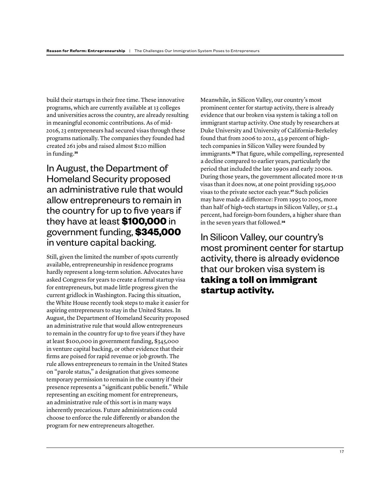build their startups in their free time. These innovative programs, which are currently available at 13 colleges and universities across the country, are already resulting in meaningful economic contributions. As of mid-2016, 23 entrepreneurs had secured visas through these programs nationally. The companies they founded had created 261 jobs and raised almost \$120 million in funding.**<sup>35</sup>**

In August, the Department of Homeland Security proposed an administrative rule that would allow entrepreneurs to remain in the country for up to five years if they have at least **\$100,000** in government funding, **\$345,000** in venture capital backing.

Still, given the limited the number of spots currently available, entrepreneurship in residence programs hardly represent a long-term solution. Advocates have asked Congress for years to create a formal startup visa for entrepreneurs, but made little progress given the current gridlock in Washington. Facing this situation, the White House recently took steps to make it easier for aspiring entrepreneurs to stay in the United States. In August, the Department of Homeland Security proposed an administrative rule that would allow entrepreneurs to remain in the country for up to fve years if they have at least \$100,000 in government funding, \$345,000 in venture capital backing, or other evidence that their frms are poised for rapid revenue or job growth. The rule allows entrepreneurs to remain in the United States on "parole status," a designation that gives someone temporary permission to remain in the country if their presence represents a "signifcant public beneft." While representing an exciting moment for entrepreneurs, an administrative rule of this sort is in many ways inherently precarious. Future administrations could choose to enforce the rule diferently or abandon the program for new entrepreneurs altogether.

Meanwhile, in Silicon Valley, our country's most prominent center for startup activity, there is already evidence that our broken visa system is taking a toll on immigrant startup activity. One study by researchers at Duke University and University of California-Berkeley found that from 2006 to 2012, 43.9 percent of hightech companies in Silicon Valley were founded by immigrants.**36** That fgure, while compelling, represented a decline compared to earlier years, particularly the period that included the late 1990s and early 2000s. During those years, the government allocated more H-1B visas than it does now, at one point providing 195,000 visas to the private sector each year.**37** Such policies may have made a diference: From 1995 to 2005, more than half of high-tech startups in Silicon Valley, or 52.4 percent, had foreign-born founders, a higher share than in the seven years that followed.**<sup>38</sup>**

In Silicon Valley, our country's most prominent center for startup activity, there is already evidence that our broken visa system is **taking a toll on immigrant startup activity.**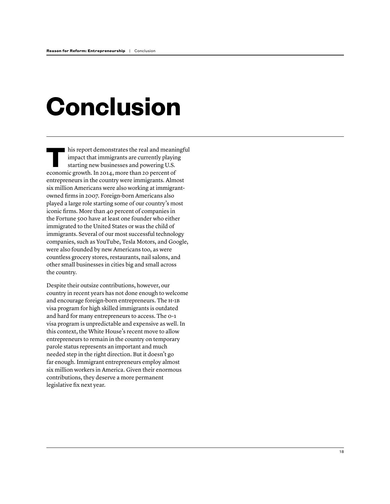# **Conclusion**

This report demonstrates the real and meaningful<br>impact that immigrants are currently playing<br>starting new businesses and powering U.S. impact that immigrants are currently playing starting new businesses and powering U.S. economic growth. In 2014, more than 20 percent of entrepreneurs in the country were immigrants. Almost six million Americans were also working at immigrantowned frms in 2007. Foreign-born Americans also played a large role starting some of our country's most iconic frms. More than 40 percent of companies in the Fortune 500 have at least one founder who either immigrated to the United States or was the child of immigrants. Several of our most successful technology companies, such as YouTube, Tesla Motors, and Google, were also founded by new Americans too, as were countless grocery stores, restaurants, nail salons, and other small businesses in cities big and small across the country.

Despite their outsize contributions, however, our country in recent years has not done enough to welcome and encourage foreign-born entrepreneurs. The H -1B visa program for high skilled immigrants is outdated and hard for many entrepreneurs to access. The 0-1 visa program is unpredictable and expensive as well. In this context, the White House's recent move to allow entrepreneurs to remain in the country on temporary parole status represents an important and much needed step in the right direction. But it doesn't go far enough. Immigrant entrepreneurs employ almost six million workers in America. Given their enormous contributions, they deserve a more permanent legislative fx next year.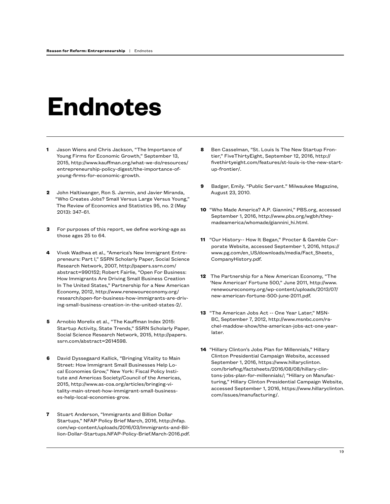## **Endnotes**

- **1** Jason Wiens and Chris Jackson, "The Importance of Young Firms for Economic Growth," September 13, 2015, http://www.kauffman.org/what-we-do/resources/ entrepreneurship-policy-digest/the-importance-ofyoung-firms-for-economic-growth.
- **2** John Haltiwanger, Ron S. Jarmin, and Javier Miranda, "Who Creates Jobs? Small Versus Large Versus Young," The Review of Economics and Statistics 95, no. 2 (May 2013): 347–61.
- **3** For purposes of this report, we define working-age as those ages 25 to 64.
- **4** Vivek Wadhwa et al., "America's New Immigrant Entrepreneurs: Part I," SSRN Scholarly Paper, Social Science Research Network, 2007, http://papers.ssrn.com/ abstract=990152; Robert Fairlie, "Open For Business: How Immigrants Are Driving Small Business Creation In The United States," Partnership for a New American Economy, 2012, http://www.renewoureconomy.org/ research/open-for-business-how-immigrants-are-driving-small-business-creation-in-the-united-states-2/.
- **5** Arnobio Morelix et al., "The Kauffman Index 2015: Startup Activity, State Trends," SSRN Scholarly Paper, Social Science Research Network, 2015, http://papers. ssrn.com/abstract=2614598.
- **6** David Dyssegaard Kallick, "Bringing Vitality to Main Street: How Immigrant Small Businesses Help Local Economies Grow," New York: Fiscal Policy Institute and Americas Society/Council of the Americas, 2015, http://www.as-coa.org/articles/bringing-vitality-main-street-how-immigrant-small-businesses-help-local-economies-grow.
- **7** Stuart Anderson, "Immigrants and Billion Dollar Startups," NFAP Policy Brief March, 2016, http://nfap. com/wp-content/uploads/2016/03/Immigrants-and-Billion-Dollar-Startups.NFAP-Policy-Brief.March-2016.pdf.
- **8** Ben Casselman, "St. Louis Is The New Startup Frontier," FiveThirtyEight, September 12, 2016, http:// fivethirtyeight.com/features/st-louis-is-the-new-startup-frontier/.
- **9** Badger, Emily. "Public Servant." Milwaukee Magazine, August 23, 2010.
- **10** "Who Made America? A.P. Giannini," PBS.org, accessed September 1, 2016, http://www.pbs.org/wgbh/theymadeamerica/whomade/giannini\_hi.html.
- **11** "Our History-- How It Began," Procter & Gamble Corporate Website, accessed September 1, 2016, https:// www.pg.com/en\_US/downloads/media/Fact\_Sheets\_ CompanyHistory.pdf.
- **12** The Partnership for a New American Economy, "The 'New American' Fortune 500," June 2011, http://www. renewoureconomy.org/wp-content/uploads/2013/07/ new-american-fortune-500-june-2011.pdf.
- **13** "The American Jobs Act -- One Year Later," MSN-BC, September 7, 2012, http://www.msnbc.com/rachel-maddow-show/the-american-jobs-act-one-yearlater.
- **14** "Hillary Clinton's Jobs Plan for Millennials," Hillary Clinton Presidential Campaign Website, accessed September 1, 2016, https://www.hillaryclinton. com/briefing/factsheets/2016/08/08/hillary-clintons-jobs-plan-for-millennials/; "Hillary on Manufacturing," Hillary Clinton Presidential Campaign Website, accessed September 1, 2016, https://www.hillaryclinton. com/issues/manufacturing/.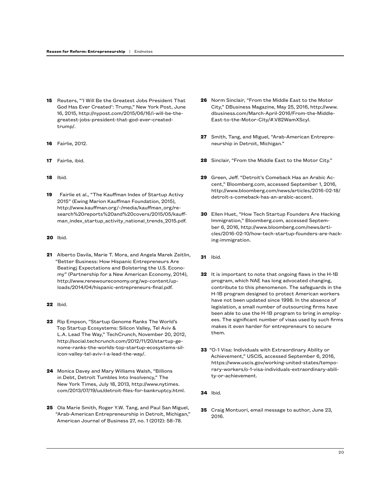- **15** Reuters, "'I Will Be the Greatest Jobs President That God Has Ever Created': Trump," New York Post, June 16, 2015, http://nypost.com/2015/06/16/i-will-be-thegreatest-jobs-president-that-god-ever-createdtrump/.
- **16** Fairlie, 2012.
- **17** Fairlie, ibid.
- **18** Ibid.
- **19** Fairlie et al., "The Kauffman Index of Startup Activy 2015" (Ewing Marion Kauffman Foundation, 2015), http://www.kauffman.org/~/media/kauffman\_org/research%20reports%20and%20covers/2015/05/kauffman\_index\_startup\_activity\_national\_trends\_2015.pdf.
- **20** Ibid.
- **21** Alberto Davila, Marie T. Mora, and Angela Marek Zeitlin, "Better Business: How Hispanic Entrepreneurs Are Beatingj Expectations and Bolstering the U.S. Economy" (Partnership for a New American Economy, 2014), http://www.renewoureconomy.org/wp-content/uploads/2014/04/hispanic-entrepreneurs-final.pdf.
- **22** Ibid.
- **23** Rip Empson, "Startup Genome Ranks The World's Top Startup Ecosystems: Silicon Valley, Tel Aviv & L.A. Lead The Way," TechCrunch, November 20, 2012, http://social.techcrunch.com/2012/11/20/startup-genome-ranks-the-worlds-top-startup-ecosystems-silicon-valley-tel-aviv-l-a-lead-the-way/.
- **24** Monica Davey and Mary Williams Walsh, "Billions in Debt, Detroit Tumbles Into Insolvency," The New York Times, July 18, 2013, http://www.nytimes. com/2013/07/19/us/detroit-files-for-bankruptcy.html.
- **25** Ola Marie Smith, Roger Y.W. Tang, and Paul San Miguel, "Arab-American Entrepreneurship in Detroit, Michigan," American Journal of Business 27, no. 1 (2012): 58–78.
- **26** Norm Sinclair, "From the Middle East to the Motor City," DBusiness Magazine, May 25, 2016, http://www. dbusiness.com/March-April-2016/From-the-Middle-East-to-the-Motor-City/#.V82WamXScyl.
- **27** Smith, Tang, and Miguel, "Arab-American Entrepreneurship in Detroit, Michigan."
- **28** Sinclair, "From the Middle East to the Motor City."
- **29** Green, Jeff. "Detroit's Comeback Has an Arabic Accent," Bloomberg.com, accessed September 1, 2016, http://www.bloomberg.com/news/articles/2016-02-18/ detroit-s-comeback-has-an-arabic-accent.
- **30** Ellen Huet, "How Tech Startup Founders Are Hacking Immigration," Bloomberg.com, accessed September 6, 2016, http://www.bloomberg.com/news/articles/2016-02-10/how-tech-startup-founders-are-hacking-immigration.
- **31** Ibid.
- **32** It is important to note that ongoing flaws in the H-1B program, which NAE has long advocated changing, contribute to this phenomenon. The safeguards in the H-1B program designed to protect American workers have not been updated since 1998. In the absence of legislation, a small number of outsourcing firms have been able to use the H-1B program to bring in employees. The significant number of visas used by such firms makes it even harder for entrepreneurs to secure them.
- **33** "O-1 Visa: Individuals with Extraordinary Ability or Achievement," USCIS, accessed September 6, 2016, https://www.uscis.gov/working-united-states/temporary-workers/o-1-visa-individuals-extraordinary-ability-or-achievement.
- **34** Ibid.
- **35** Craig Montuori, email message to author, June 23, 2016.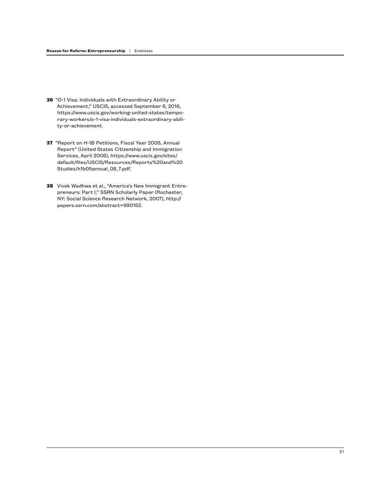- **36** "O-1 Visa: Individuals with Extraordinary Ability or Achievement," USCIS, accessed September 6, 2016, https://www.uscis.gov/working-united-states/temporary-workers/o-1-visa-individuals-extraordinary-ability-or-achievement.
- **37** "Report on H-1B Petitions, Fiscal Year 2005, Annual Report" (United States Citizenship and Immigration Services, April 2006), https://www.uscis.gov/sites/ default/files/USCIS/Resources/Reports%20and%20 Studies/h1b05annual\_08\_7.pdf.
- **38** Vivek Wadhwa et al., "America's New Immigrant Entrepreneurs: Part I," SSRN Scholarly Paper (Rochester, NY: Social Science Research Network, 2007), http:// papers.ssrn.com/abstract=990152.